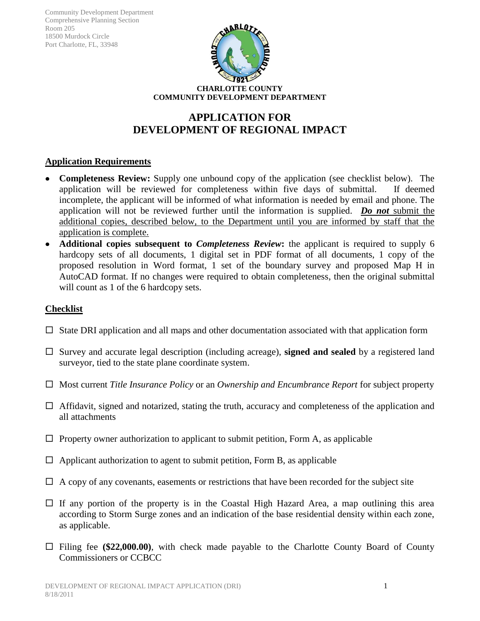

# **APPLICATION FOR DEVELOPMENT OF REGIONAL IMPACT**

# **Application Requirements**

- **Completeness Review:** Supply one unbound copy of the application (see checklist below)*.* The application will be reviewed for completeness within five days of submittal. If deemed incomplete, the applicant will be informed of what information is needed by email and phone. The application will not be reviewed further until the information is supplied. *Do not* submit the additional copies, described below, to the Department until you are informed by staff that the application is complete.
- **Additional copies subsequent to** *Completeness Review***:** the applicant is required to supply 6 hardcopy sets of all documents, 1 digital set in PDF format of all documents, 1 copy of the proposed resolution in Word format, 1 set of the boundary survey and proposed Map H in AutoCAD format. If no changes were required to obtain completeness, then the original submittal will count as 1 of the 6 hardcopy sets.

# **Checklist**

- $\Box$  State DRI application and all maps and other documentation associated with that application form
- □ Survey and accurate legal description (including acreage), **signed and sealed** by a registered land surveyor, tied to the state plane coordinate system.
- Most current *Title Insurance Policy* or an *Ownership and Encumbrance Report* for subject property
- $\Box$  Affidavit, signed and notarized, stating the truth, accuracy and completeness of the application and all attachments
- $\Box$  Property owner authorization to applicant to submit petition, Form A, as applicable
- $\Box$  Applicant authorization to agent to submit petition, Form B, as applicable
- $\Box$  A copy of any covenants, easements or restrictions that have been recorded for the subject site
- $\Box$  If any portion of the property is in the Coastal High Hazard Area, a map outlining this area according to Storm Surge zones and an indication of the base residential density within each zone, as applicable.
- Filing fee **(\$22,000.00)**, with check made payable to the Charlotte County Board of County Commissioners or CCBCC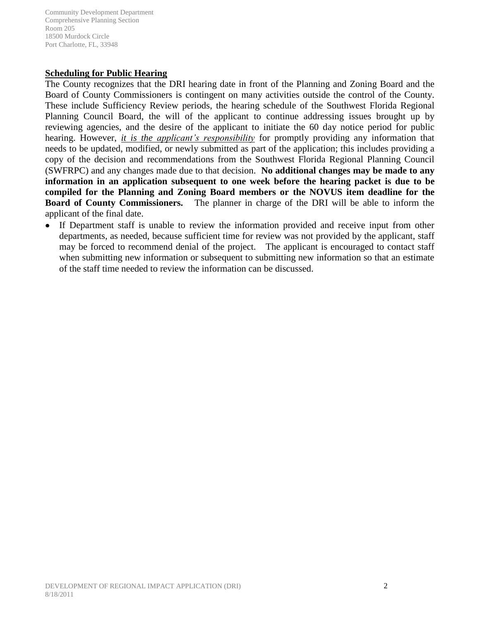### **Scheduling for Public Hearing**

The County recognizes that the DRI hearing date in front of the Planning and Zoning Board and the Board of County Commissioners is contingent on many activities outside the control of the County. These include Sufficiency Review periods, the hearing schedule of the Southwest Florida Regional Planning Council Board, the will of the applicant to continue addressing issues brought up by reviewing agencies, and the desire of the applicant to initiate the 60 day notice period for public hearing. However, *it is the applicant's responsibility* for promptly providing any information that needs to be updated, modified, or newly submitted as part of the application; this includes providing a copy of the decision and recommendations from the Southwest Florida Regional Planning Council (SWFRPC) and any changes made due to that decision. **No additional changes may be made to any information in an application subsequent to one week before the hearing packet is due to be compiled for the Planning and Zoning Board members or the NOVUS item deadline for the Board of County Commissioners.** The planner in charge of the DRI will be able to inform the applicant of the final date.

If Department staff is unable to review the information provided and receive input from other departments, as needed, because sufficient time for review was not provided by the applicant, staff may be forced to recommend denial of the project. The applicant is encouraged to contact staff when submitting new information or subsequent to submitting new information so that an estimate of the staff time needed to review the information can be discussed.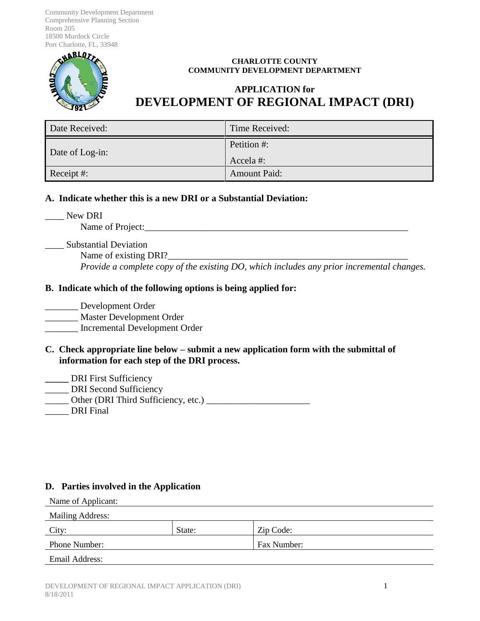

#### **CHARLOTTE COUNTY COMMUNITY DEVELOPMENT DEPARTMENT**

# **APPLICATION for DEVELOPMENT OF REGIONAL IMPACT (DRI)**

| Date Received:  | Time Received:          |  |
|-----------------|-------------------------|--|
| Date of Log-in: | Petition #:<br>Accela#: |  |
| Receipt #:      | <b>Amount Paid:</b>     |  |

### **A. Indicate whether this is a new DRI or a Substantial Deviation:**

New DRI

Name of Project:\_\_\_\_\_\_\_\_\_\_\_\_\_\_\_\_\_\_\_\_\_\_\_\_\_\_\_\_\_\_\_\_\_\_\_\_\_\_\_\_\_\_\_\_\_\_\_\_\_\_\_\_\_\_\_\_

\_\_\_\_ Substantial Deviation

Name of existing DRI? *Provide a complete copy of the existing DO, which includes any prior incremental changes.* 

### **B. Indicate which of the following options is being applied for:**

\_\_\_\_\_\_\_ Development Order \_\_\_\_\_\_\_ Master Development Order \_\_\_\_\_\_\_ Incremental Development Order

- **C. Check appropriate line below submit a new application form with the submittal of information for each step of the DRI process.**
- **\_\_\_\_\_** DRI First Sufficiency
- \_\_\_\_\_ DRI Second Sufficiency

\_\_\_\_\_ Other (DRI Third Sufficiency, etc.) \_\_\_\_\_\_\_\_\_\_\_\_\_\_\_\_\_\_\_\_\_\_

DRI Final

# **D. Parties involved in the Application**

Name of Applicant:

| <b>Mailing Address:</b> |        |             |  |
|-------------------------|--------|-------------|--|
| City:                   | State: | Zip Code:   |  |
| <b>Phone Number:</b>    |        | Fax Number: |  |
| Email Address:          |        |             |  |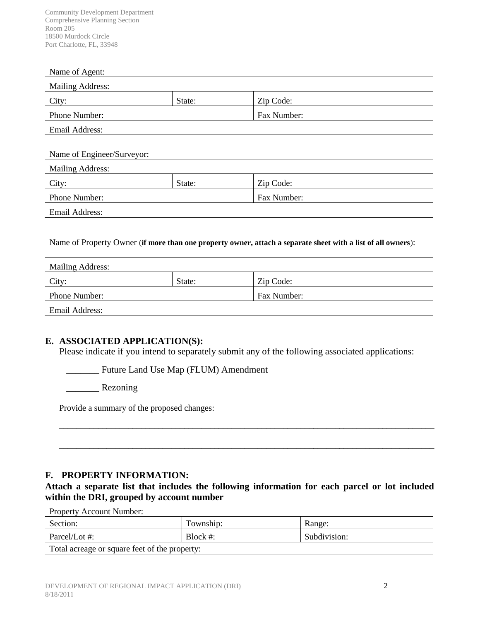#### Name of Agent:

| <b>Mailing Address:</b> |        |             |
|-------------------------|--------|-------------|
| City:                   | State: | Zip Code:   |
| Phone Number:           |        | Fax Number: |
| Email Address:          |        |             |
|                         |        |             |

| Name of Engineer/Surveyor: |        |             |
|----------------------------|--------|-------------|
| <b>Mailing Address:</b>    |        |             |
| City:                      | State: | Zip Code:   |
| <b>Phone Number:</b>       |        | Fax Number: |
| Email Address:             |        |             |

Name of Property Owner (**if more than one property owner, attach a separate sheet with a list of all owners**):

| <b>Mailing Address:</b> |        |             |
|-------------------------|--------|-------------|
| City:                   | State: | Zip Code:   |
| <b>Phone Number:</b>    |        | Fax Number: |
| Email Address:          |        |             |

### **E. ASSOCIATED APPLICATION(S):**

Please indicate if you intend to separately submit any of the following associated applications:

\_\_\_\_\_\_\_ Future Land Use Map (FLUM) Amendment

\_\_\_\_\_\_\_ Rezoning

Provide a summary of the proposed changes:

### **F. PROPERTY INFORMATION:**

**Attach a separate list that includes the following information for each parcel or lot included within the DRI, grouped by account number**

\_\_\_\_\_\_\_\_\_\_\_\_\_\_\_\_\_\_\_\_\_\_\_\_\_\_\_\_\_\_\_\_\_\_\_\_\_\_\_\_\_\_\_\_\_\_\_\_\_\_\_\_\_\_\_\_\_\_\_\_\_\_\_\_\_\_\_\_\_\_\_\_\_\_\_\_\_\_\_\_\_\_\_\_\_\_\_

\_\_\_\_\_\_\_\_\_\_\_\_\_\_\_\_\_\_\_\_\_\_\_\_\_\_\_\_\_\_\_\_\_\_\_\_\_\_\_\_\_\_\_\_\_\_\_\_\_\_\_\_\_\_\_\_\_\_\_\_\_\_\_\_\_\_\_\_\_\_\_\_\_\_\_\_\_\_\_\_\_\_\_\_\_\_\_

Property Account Number:

| Section:                                      | Township:   | Range:       |  |
|-----------------------------------------------|-------------|--------------|--|
| Parcel/Lot #:                                 | Block $#$ : | Subdivision: |  |
| Total acreage or square feet of the property: |             |              |  |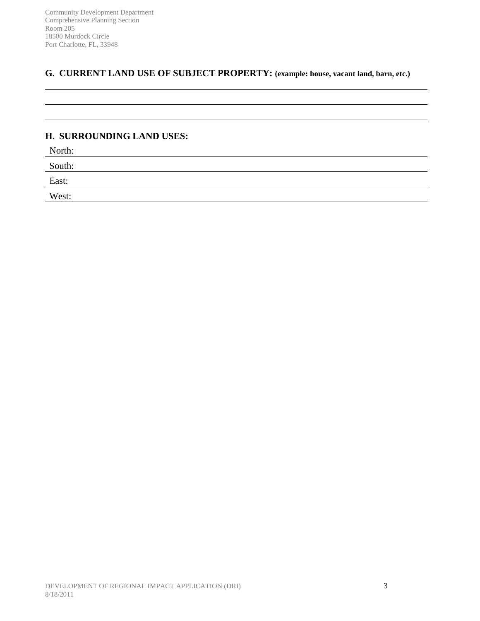# **G. CURRENT LAND USE OF SUBJECT PROPERTY: (example: house, vacant land, barn, etc.)**

### **H. SURROUNDING LAND USES:**

North:

South:

East:

West: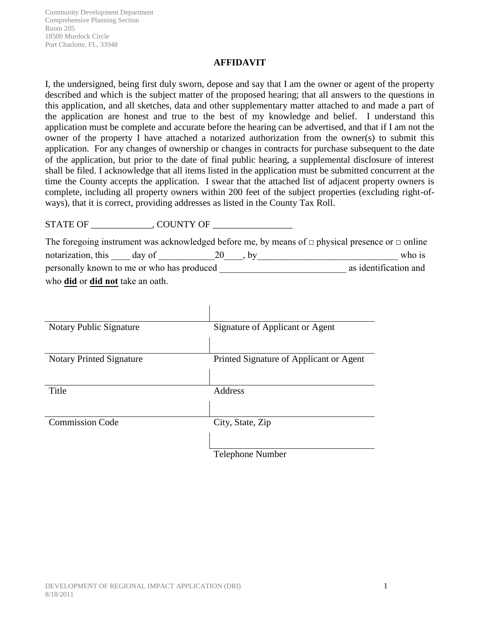### **AFFIDAVIT**

I, the undersigned, being first duly sworn, depose and say that I am the owner or agent of the property described and which is the subject matter of the proposed hearing; that all answers to the questions in this application, and all sketches, data and other supplementary matter attached to and made a part of the application are honest and true to the best of my knowledge and belief. I understand this application must be complete and accurate before the hearing can be advertised, and that if I am not the owner of the property I have attached a notarized authorization from the owner(s) to submit this application. For any changes of ownership or changes in contracts for purchase subsequent to the date of the application, but prior to the date of final public hearing, a supplemental disclosure of interest shall be filed. I acknowledge that all items listed in the application must be submitted concurrent at the time the County accepts the application. I swear that the attached list of adjacent property owners is complete, including all property owners within 200 feet of the subject properties (excluding right-ofways), that it is correct, providing addresses as listed in the County Tax Roll.

STATE OF GUNTY OF

The foregoing instrument was acknowledged before me, by means of  $\Box$  physical presence or  $\Box$  online notarization, this  $\_\_\_$  day of  $\_\_\_\_$  20 $\_\_\_$ , by  $\_\_\_\_\_\_\_\_\_$  who is personally known to me or who has produced \_\_\_\_\_\_\_\_\_\_\_\_\_\_\_\_\_\_\_\_\_\_\_\_\_\_\_ as identification and who **did** or **did not** take an oath.

| Notary Public Signature         | Signature of Applicant or Agent         |
|---------------------------------|-----------------------------------------|
|                                 |                                         |
| <b>Notary Printed Signature</b> | Printed Signature of Applicant or Agent |
|                                 |                                         |
| Title                           | Address                                 |
|                                 |                                         |
| <b>Commission Code</b>          | City, State, Zip                        |
|                                 |                                         |
|                                 | <b>Telephone Number</b>                 |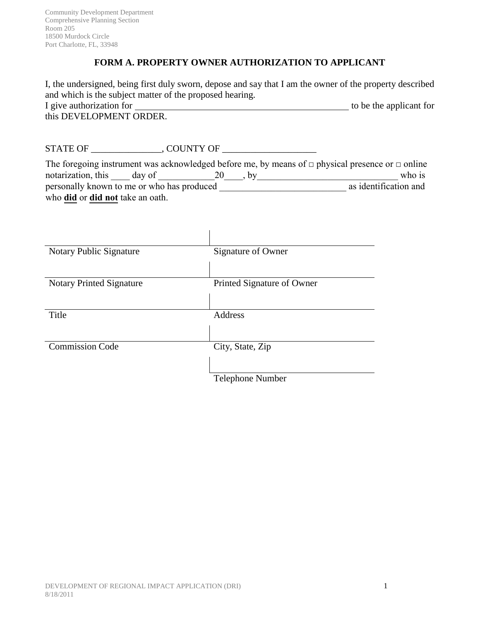# **FORM A. PROPERTY OWNER AUTHORIZATION TO APPLICANT**

I, the undersigned, being first duly sworn, depose and say that I am the owner of the property described and which is the subject matter of the proposed hearing. I give authorization for I give a unit authorization for the applicant for the applicant for this DEVELOPMENT ORDER.

STATE OF \_\_\_\_\_\_\_\_\_\_\_\_\_\_\_, COUNTY OF \_\_\_\_\_\_\_\_\_\_\_\_\_\_\_\_\_\_\_\_

|                                                |  | The foregoing instrument was acknowledged before me, by means of $\Box$ physical presence or $\Box$ online |
|------------------------------------------------|--|------------------------------------------------------------------------------------------------------------|
| notarization, this day of                      |  | who is                                                                                                     |
| personally known to me or who has produced     |  | as identification and                                                                                      |
| who <b>did</b> or <b>did not</b> take an oath. |  |                                                                                                            |

| Notary Public Signature         | Signature of Owner         |
|---------------------------------|----------------------------|
|                                 |                            |
| <b>Notary Printed Signature</b> | Printed Signature of Owner |
|                                 |                            |
| Title                           | <b>Address</b>             |
|                                 |                            |
| <b>Commission Code</b>          | City, State, Zip           |
|                                 |                            |
|                                 | <b>Telephone Number</b>    |